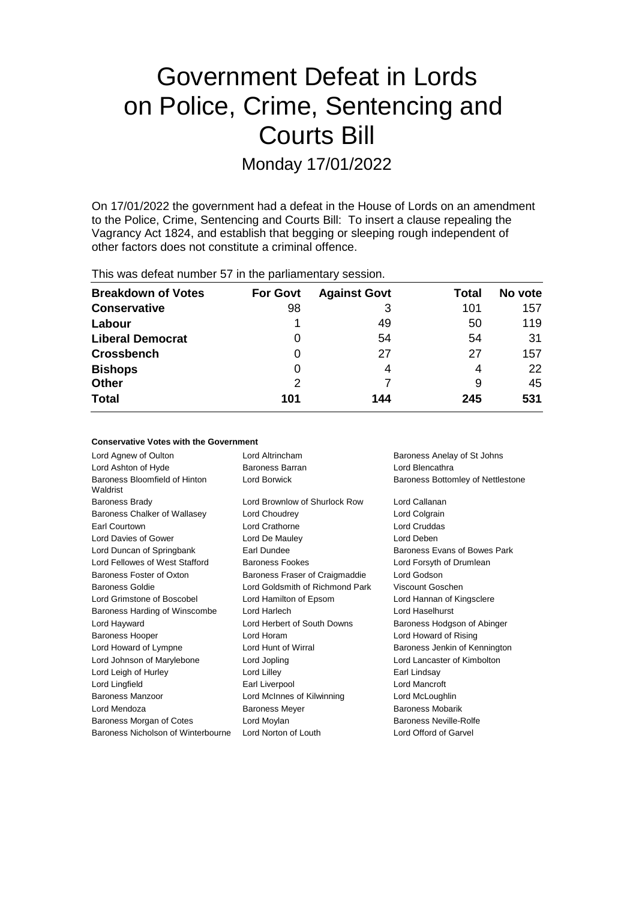# Government Defeat in Lords on Police, Crime, Sentencing and Courts Bill

Monday 17/01/2022

On 17/01/2022 the government had a defeat in the House of Lords on an amendment to the Police, Crime, Sentencing and Courts Bill: To insert a clause repealing the Vagrancy Act 1824, and establish that begging or sleeping rough independent of other factors does not constitute a criminal offence.

This was defeat number 57 in the parliamentary session.

| <b>Breakdown of Votes</b> | <b>For Govt</b> | <b>Against Govt</b> | Total | No vote |
|---------------------------|-----------------|---------------------|-------|---------|
| <b>Conservative</b>       | 98              | 3                   | 101   | 157     |
| Labour                    |                 | 49                  | 50    | 119     |
| <b>Liberal Democrat</b>   | 0               | 54                  | 54    | 31      |
| <b>Crossbench</b>         | 0               | 27                  | 27    | 157     |
| <b>Bishops</b>            | 0               | 4                   | 4     | 22      |
| <b>Other</b>              | 2               |                     | 9     | 45      |
| <b>Total</b>              | 101             | 144                 | 245   | 531     |

# **Conservative Votes with the Government**

| Lord Agnew of Oulton                      | Lord Altrincham                 | Baroness Anelay of St Johns       |
|-------------------------------------------|---------------------------------|-----------------------------------|
| Lord Ashton of Hyde                       | Baroness Barran                 | Lord Blencathra                   |
| Baroness Bloomfield of Hinton<br>Waldrist | Lord Borwick                    | Baroness Bottomley of Nettlestone |
| <b>Baroness Brady</b>                     | Lord Brownlow of Shurlock Row   | Lord Callanan                     |
| Baroness Chalker of Wallasey              | Lord Choudrey                   | Lord Colgrain                     |
| Earl Courtown                             | Lord Crathorne                  | Lord Cruddas                      |
| Lord Davies of Gower                      | Lord De Mauley                  | Lord Deben                        |
| Lord Duncan of Springbank                 | Earl Dundee                     | Baroness Evans of Bowes Park      |
| Lord Fellowes of West Stafford            | <b>Baroness Fookes</b>          | Lord Forsyth of Drumlean          |
| Baroness Foster of Oxton                  | Baroness Fraser of Craigmaddie  | Lord Godson                       |
| Baroness Goldie                           | Lord Goldsmith of Richmond Park | Viscount Goschen                  |
| Lord Grimstone of Boscobel                | Lord Hamilton of Epsom          | Lord Hannan of Kingsclere         |
| Baroness Harding of Winscombe             | Lord Harlech                    | Lord Haselhurst                   |
| Lord Hayward                              | Lord Herbert of South Downs     | Baroness Hodgson of Abinger       |
| <b>Baroness Hooper</b>                    | Lord Horam                      | Lord Howard of Rising             |
| Lord Howard of Lympne                     | Lord Hunt of Wirral             | Baroness Jenkin of Kennington     |
| Lord Johnson of Marylebone                | Lord Jopling                    | Lord Lancaster of Kimbolton       |
| Lord Leigh of Hurley                      | Lord Lilley                     | Earl Lindsay                      |
| Lord Lingfield                            | Earl Liverpool                  | Lord Mancroft                     |
| <b>Baroness Manzoor</b>                   | Lord McInnes of Kilwinning      | Lord McLoughlin                   |
| Lord Mendoza                              | <b>Baroness Meyer</b>           | <b>Baroness Mobarik</b>           |
| Baroness Morgan of Cotes                  | Lord Moylan                     | Baroness Neville-Rolfe            |
| Baroness Nicholson of Winterbourne        | Lord Norton of Louth            | Lord Offord of Garvel             |
|                                           |                                 |                                   |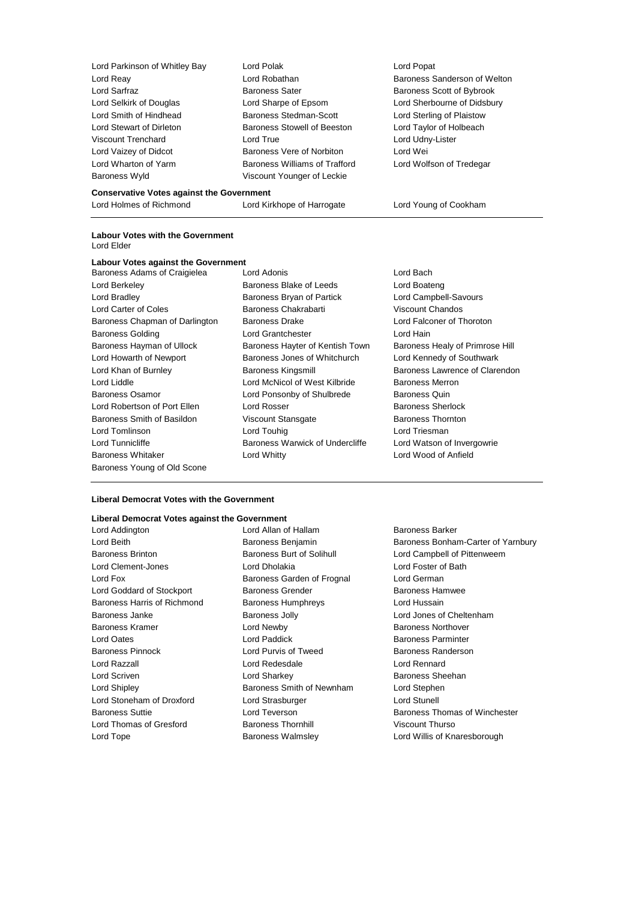| Lord Parkinson of Whitley Bay | Lord Polak                           | Lord Popat             |
|-------------------------------|--------------------------------------|------------------------|
| Lord Reay                     | Lord Robathan                        | <b>Baroness Sander</b> |
| Lord Sarfraz                  | <b>Baroness Sater</b>                | Baroness Scott o       |
| Lord Selkirk of Douglas       | Lord Sharpe of Epsom                 | Lord Sherbourne        |
| Lord Smith of Hindhead        | Baroness Stedman-Scott               | Lord Sterling of P     |
| Lord Stewart of Dirleton      | Baroness Stowell of Beeston          | Lord Taylor of Ho      |
| <b>Viscount Trenchard</b>     | Lord True                            | Lord Udny-Lister       |
| Lord Vaizey of Didcot         | Baroness Vere of Norbiton            | Lord Wei               |
| Lord Wharton of Yarm          | <b>Baroness Williams of Trafford</b> | Lord Wolfson of        |
| Baroness Wyld                 | Viscount Younger of Leckie           |                        |
|                               |                                      |                        |

## **Conservative Votes against the Government**

Lord Holmes of Richmond Lord Kirkhope of Harrogate Lord Young of Cookham

#### **Labour Votes with the Government** Lord Elder

# **Labour Votes against the Government**

- Baroness Young of Old Scone
- Baroness Adams of Craigielea Lord Adonis Contract and Lord Bach Lord Berkeley **Baroness Blake of Leeds** Lord Boateng Lord Bradley Baroness Bryan of Partick Lord Campbell-Savours Lord Carter of Coles **Baroness Chakrabarti** Viscount Chandos Baroness Chapman of Darlington Baroness Drake Lord Falconer of Thoroton Baroness Golding **Lord Grantchester** Lord Lord Hain Baroness Hayman of Ullock Baroness Hayter of Kentish Town Baroness Healy of Primrose Hill Lord Howarth of Newport Baroness Jones of Whitchurch Lord Kennedy of Southwark Lord Khan of Burnley **Baroness Kingsmill** Baroness Lawrence of Clarendon Lord Liddle Lord McNicol of West Kilbride Baroness Merron Baroness Osamor Lord Ponsonby of Shulbrede Baroness Quin Lord Robertson of Port Ellen Lord Rosser **Baroness** Sherlock Baroness Smith of Basildon **Viscount Stansgate** Baroness Thornton Lord Tomlinson **Lord Touhig Lord Touhig Lord Triesman** Lord Tunnicliffe **Baroness Warwick of Undercliffe** Lord Watson of Invergowrie Baroness Whitaker Lord Whitty Lord Wood of Anfield

.<br>Is Sanderson of Welton s Scott of Bybrook erbourne of Didsbury erling of Plaistow vlor of Holbeach blfson of Tredegar

#### **Liberal Democrat Votes with the Government**

#### **Liberal Democrat Votes against the Government**

Baroness Brinton **Baroness Burt of Solihull** Lord Campbell of Pittenweem Lord Clement-Jones Lord Dholakia Lord Foster of Bath Lord Fox **Baroness Garden of Frognal** Lord German Lord Goddard of Stockport **Baroness Grender** Baroness Hamwee Baroness Harris of Richmond Baroness Humphreys Lord Hussain Baroness Janke **Baroness Jolly** Baroness Jolly **Lord Jones of Cheltenham** Baroness Kramer **Example 2** Lord Newby **Constructs** Baroness Northover Lord Oates Lord Paddick Baroness Parminter Baroness Pinnock **Exercise Search Conditions** Lord Purvis of Tweed Baroness Randerson Lord Razzall Lord Redesdale Lord Rennard Lord Scriven Lord Sharkey Baroness Sheehan Lord Shipley Baroness Smith of Newnham Lord Stephen Lord Stoneham of Droxford Lord Strasburger Lord Stunell Lord Thomas of Gresford Baroness Thornhill Viscount Thurso Lord Tope **Baroness Walmsley Community** Lord Willis of Knaresborough Cord Willis of Knaresborough

Lord Addington **Lord Allan of Hallam** Baroness Barker Lord Beith **Baroness Benjamin** Baroness Benjamin Baroness Bonham-Carter of Yarnbury Baroness Suttie **Lord Teverson** Baroness Thomas of Winchester